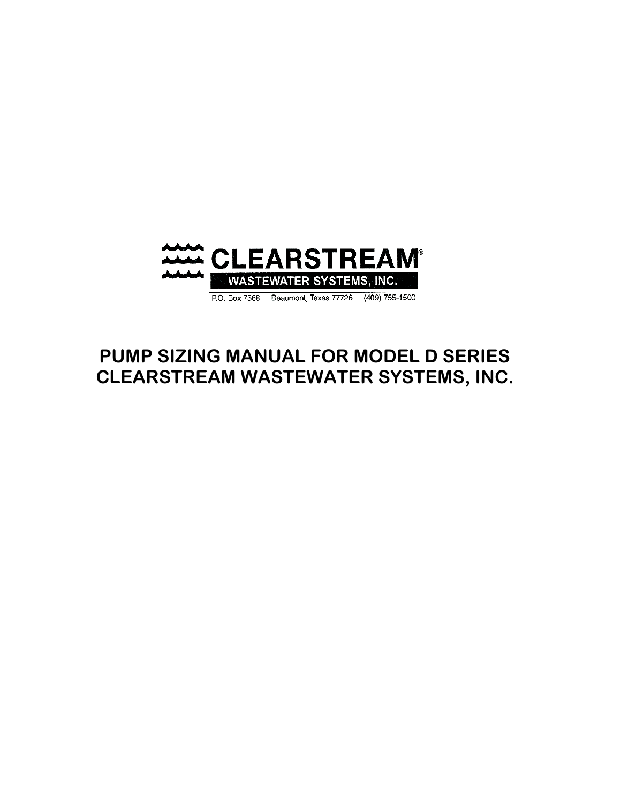

# **PUMP SIZING MANUAL FOR MODEL D SERIES CLEARSTREAM WASTEWATER SYSTEMS, INC.**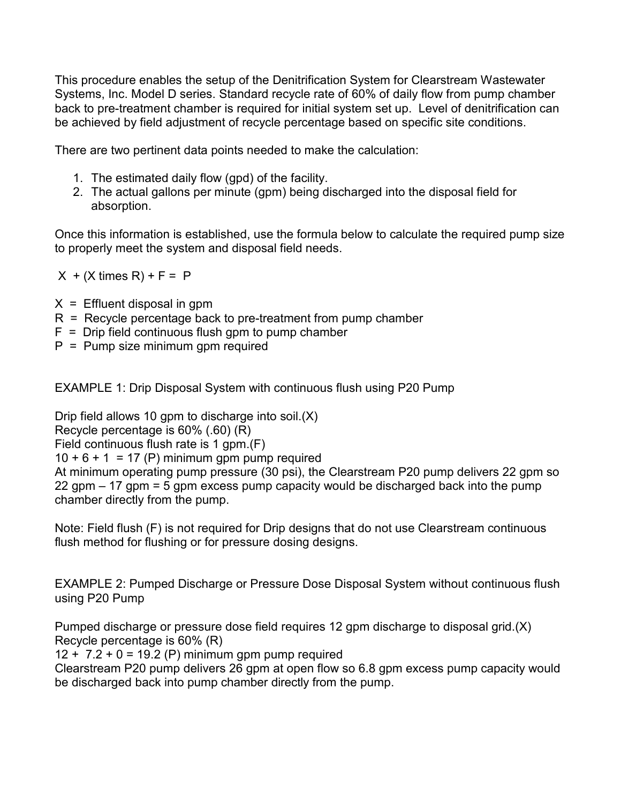This procedure enables the setup of the Denitrification System for Clearstream Wastewater Systems, Inc. Model D series. Standard recycle rate of 60% of daily flow from pump chamber back to pre-treatment chamber is required for initial system set up. Level of denitrification can be achieved by field adjustment of recycle percentage based on specific site conditions.

There are two pertinent data points needed to make the calculation:

- 1. The estimated daily flow (gpd) of the facility.
- 2. The actual gallons per minute (gpm) being discharged into the disposal field for absorption.

Once this information is established, use the formula below to calculate the required pump size to properly meet the system and disposal field needs.

 $X + (X \times R) + F = P$ 

- $X =$  Effluent disposal in gpm
- R = Recycle percentage back to pre-treatment from pump chamber
- $F =$  Drip field continuous flush gpm to pump chamber
- $P =$  Pump size minimum gpm required

EXAMPLE 1: Drip Disposal System with continuous flush using P20 Pump

Drip field allows 10 gpm to discharge into soil.(X)

Recycle percentage is 60% (.60) (R)

Field continuous flush rate is 1 gpm.(F)

 $10 + 6 + 1 = 17$  (P) minimum gpm pump required

At minimum operating pump pressure (30 psi), the Clearstream P20 pump delivers 22 gpm so 22 gpm – 17 gpm = 5 gpm excess pump capacity would be discharged back into the pump chamber directly from the pump.

Note: Field flush (F) is not required for Drip designs that do not use Clearstream continuous flush method for flushing or for pressure dosing designs.

EXAMPLE 2: Pumped Discharge or Pressure Dose Disposal System without continuous flush using P20 Pump

Pumped discharge or pressure dose field requires 12 gpm discharge to disposal grid.(X) Recycle percentage is 60% (R)

 $12 + 7.2 + 0 = 19.2$  (P) minimum gpm pump required

Clearstream P20 pump delivers 26 gpm at open flow so 6.8 gpm excess pump capacity would be discharged back into pump chamber directly from the pump.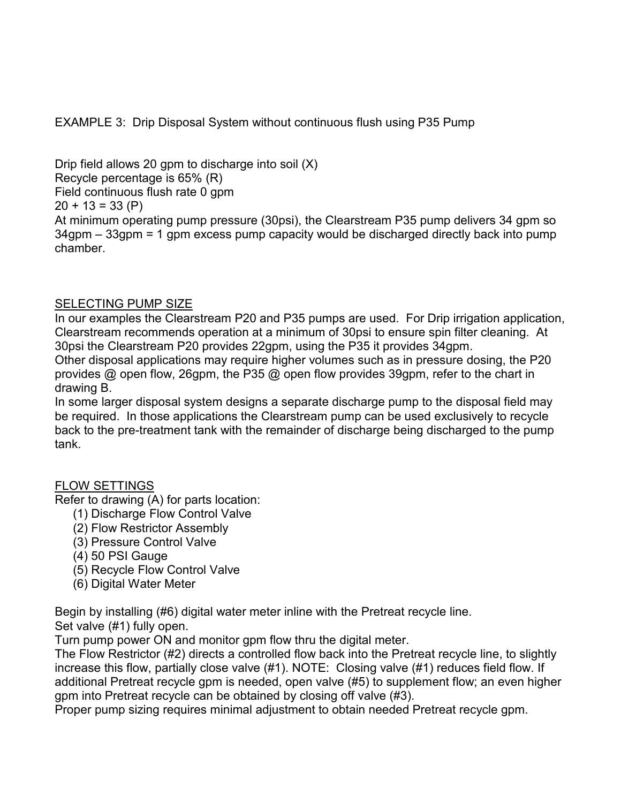EXAMPLE 3: Drip Disposal System without continuous flush using P35 Pump

Drip field allows 20 gpm to discharge into soil  $(X)$ Recycle percentage is 65% (R) Field continuous flush rate 0 gpm  $20 + 13 = 33$  (P) At minimum operating pump pressure (30psi), the Clearstream P35 pump delivers 34 gpm so 34gpm – 33gpm = 1 gpm excess pump capacity would be discharged directly back into pump chamber.

### SELECTING PUMP SIZE

In our examples the Clearstream P20 and P35 pumps are used. For Drip irrigation application, Clearstream recommends operation at a minimum of 30psi to ensure spin filter cleaning. At 30psi the Clearstream P20 provides 22gpm, using the P35 it provides 34gpm.

Other disposal applications may require higher volumes such as in pressure dosing, the P20 provides @ open flow, 26gpm, the P35 @ open flow provides 39gpm, refer to the chart in drawing B.

In some larger disposal system designs a separate discharge pump to the disposal field may be required. In those applications the Clearstream pump can be used exclusively to recycle back to the pre-treatment tank with the remainder of discharge being discharged to the pump tank.

### FLOW SETTINGS

Refer to drawing (A) for parts location:

- (1) Discharge Flow Control Valve
- (2) Flow Restrictor Assembly
- (3) Pressure Control Valve
- (4) 50 PSI Gauge
- (5) Recycle Flow Control Valve
- (6) Digital Water Meter

Begin by installing (#6) digital water meter inline with the Pretreat recycle line.

Set valve (#1) fully open.

Turn pump power ON and monitor gpm flow thru the digital meter.

The Flow Restrictor (#2) directs a controlled flow back into the Pretreat recycle line, to slightly increase this flow, partially close valve (#1). NOTE: Closing valve (#1) reduces field flow. If additional Pretreat recycle gpm is needed, open valve (#5) to supplement flow; an even higher gpm into Pretreat recycle can be obtained by closing off valve (#3).

Proper pump sizing requires minimal adjustment to obtain needed Pretreat recycle gpm.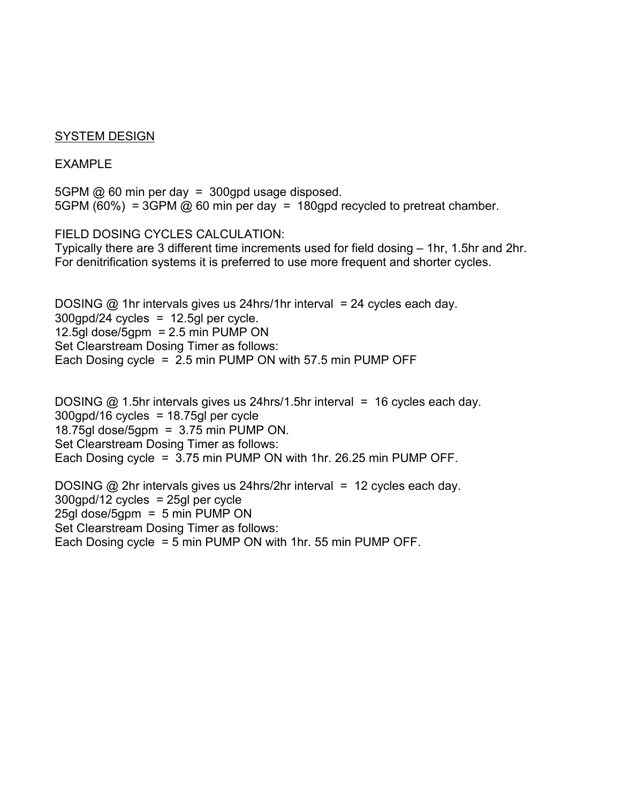#### SYSTEM DESIGN

#### EXAMPLE

5GPM @ 60 min per day = 300gpd usage disposed. 5GPM (60%) = 3GPM  $\omega$  60 min per day = 180gpd recycled to pretreat chamber.

FIELD DOSING CYCLES CALCULATION:

Typically there are 3 different time increments used for field dosing – 1hr, 1.5hr and 2hr. For denitrification systems it is preferred to use more frequent and shorter cycles.

DOSING  $\omega$  1hr intervals gives us 24hrs/1hr interval = 24 cycles each day.  $300$ gpd/24 cycles = 12.5gl per cycle. 12.5gl dose/5gpm =  $2.5$  min PUMP ON Set Clearstream Dosing Timer as follows: Each Dosing cycle =  $2.5$  min PUMP ON with 57.5 min PUMP OFF

DOSING  $@$  1.5hr intervals gives us 24hrs/1.5hr interval = 16 cycles each day.  $300$ gpd/16 cycles = 18.75gl per cycle 18.75gl dose/5gpm =  $3.75$  min PUMP ON. Set Clearstream Dosing Timer as follows: Each Dosing cycle = 3.75 min PUMP ON with 1hr. 26.25 min PUMP OFF.

DOSING  $\omega$  2hr intervals gives us 24hrs/2hr interval = 12 cycles each day. 300gpd/12 cycles = 25gl per cycle 25gl dose/5gpm = 5 min PUMP ON Set Clearstream Dosing Timer as follows: Each Dosing cycle = 5 min PUMP ON with 1hr. 55 min PUMP OFF.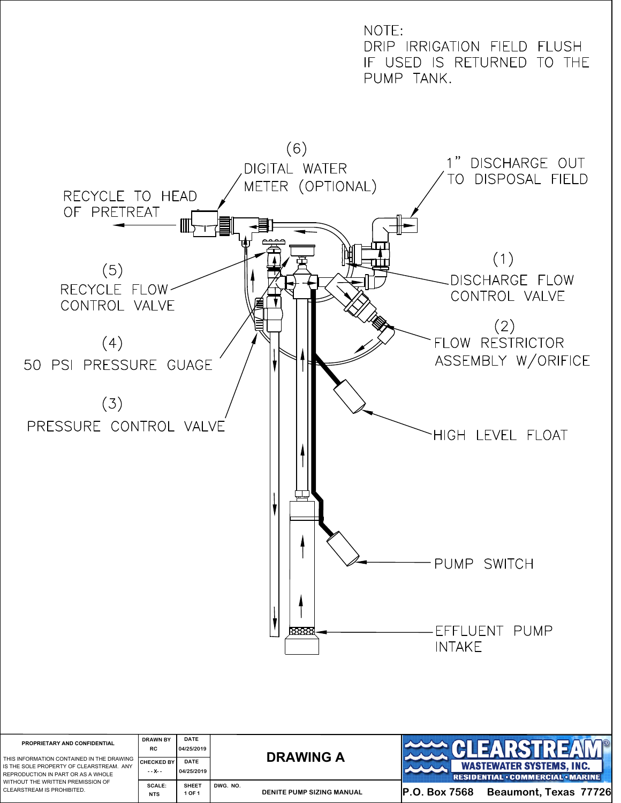

| PROPRIETARY AND CONFIDENTIAL<br>THIS INFORMATION CONTAINED IN THE DRAWING<br>IS THE SOLE PROPERTY OF CLEARSTREAM. ANY<br>REPRODUCTION IN PART OR AS A WHOLE<br>WITHOUT THE WRITTEN PREMISSION OF<br>CLEARSTREAM IS PROHIBITED. | <b>DRAWN BY</b><br><b>RC</b><br><b>CHECKED BY</b><br>--х-- | <b>DATE</b><br>04/25/2019<br>DATE<br>04/25/2019 | <b>DRAWING A</b>                      | $  \circledast  $<br>▐▊▆▚▚▚▞▜▐▞▞▆▓▞▞<br><b>WASTEWATER SYSTEMS, INC.</b><br><b>RESIDENTIAL . COMMERCIAL MARINE</b> |
|--------------------------------------------------------------------------------------------------------------------------------------------------------------------------------------------------------------------------------|------------------------------------------------------------|-------------------------------------------------|---------------------------------------|-------------------------------------------------------------------------------------------------------------------|
|                                                                                                                                                                                                                                | SCALE:<br><b>NTS</b>                                       | <b>SHEET</b><br>1 OF 1                          | DWG. NO.<br>DENITE PUMP SIZING MANUAL | Beaumont, Texas 77726<br>IP.O. Box 7568                                                                           |